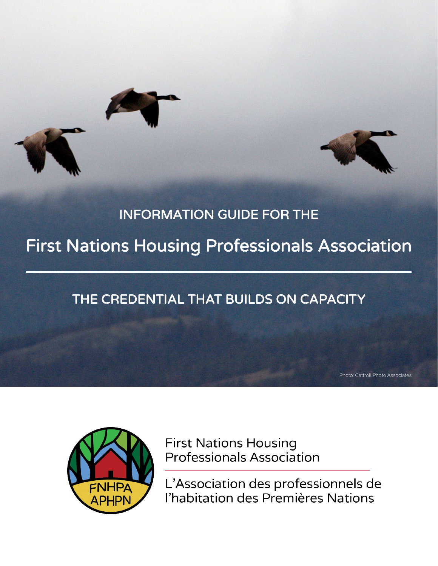

## INFORMATION GUIDE FOR THE

# First Nations Housing Professionals Association

## THE CREDENTIAL THAT BUILDS ON CAPACITY

Photo: Cattroll Photo Associates



**First Nations Housing Professionals Association** 

L'Association des professionnels de l'habitation des Premières Nations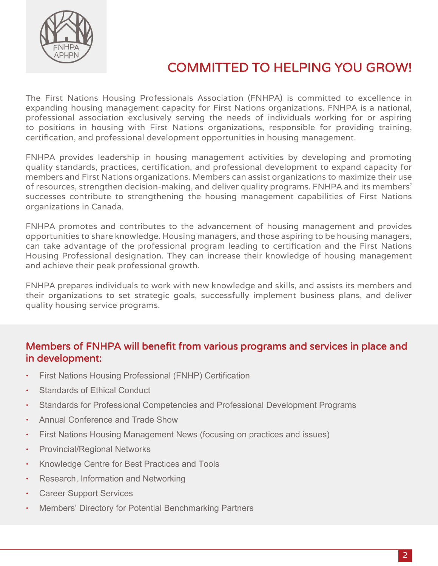

## COMMITTED TO HELPING YOU GROW!

The First Nations Housing Professionals Association (FNHPA) is committed to excellence in expanding housing management capacity for First Nations organizations. FNHPA is a national, professional association exclusively serving the needs of individuals working for or aspiring to positions in housing with First Nations organizations, responsible for providing training, certification, and professional development opportunities in housing management.

FNHPA provides leadership in housing management activities by developing and promoting quality standards, practices, certification, and professional development to expand capacity for members and First Nations organizations. Members can assist organizations to maximize their use of resources, strengthen decision-making, and deliver quality programs. FNHPA and its members' successes contribute to strengthening the housing management capabilities of First Nations organizations in Canada.

FNHPA promotes and contributes to the advancement of housing management and provides opportunities to share knowledge. Housing managers, and those aspiring to be housing managers, can take advantage of the professional program leading to certification and the First Nations Housing Professional designation. They can increase their knowledge of housing management and achieve their peak professional growth.

FNHPA prepares individuals to work with new knowledge and skills, and assists its members and their organizations to set strategic goals, successfully implement business plans, and deliver quality housing service programs.

#### Members of FNHPA will benefit from various programs and services in place and in development:

- First Nations Housing Professional (FNHP) Certification
- Standards of Ethical Conduct
- Standards for Professional Competencies and Professional Development Programs
- Annual Conference and Trade Show
- First Nations Housing Management News (focusing on practices and issues)
- Provincial/Regional Networks
- Knowledge Centre for Best Practices and Tools
- Research, Information and Networking
- Career Support Services
- Members' Directory for Potential Benchmarking Partners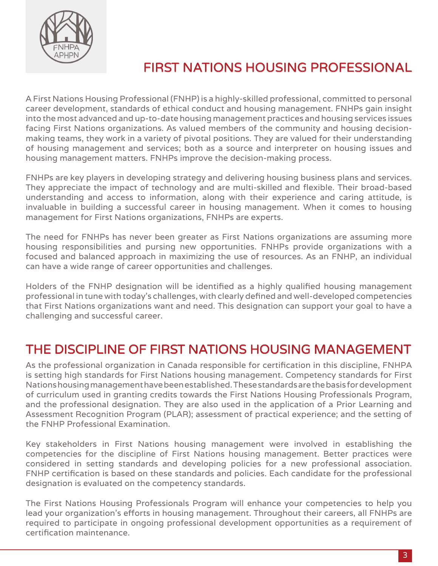

## FIRST NATIONS HOUSING PROFESSIONAL

A First Nations Housing Professional (FNHP) is a highly-skilled professional, committed to personal career development, standards of ethical conduct and housing management. FNHPs gain insight into the most advanced and up-to-date housing management practices and housing services issues facing First Nations organizations. As valued members of the community and housing decisionmaking teams, they work in a variety of pivotal positions. They are valued for their understanding of housing management and services; both as a source and interpreter on housing issues and housing management matters. FNHPs improve the decision-making process.

FNHPs are key players in developing strategy and delivering housing business plans and services. They appreciate the impact of technology and are multi-skilled and flexible. Their broad-based understanding and access to information, along with their experience and caring attitude, is invaluable in building a successful career in housing management. When it comes to housing management for First Nations organizations, FNHPs are experts.

The need for FNHPs has never been greater as First Nations organizations are assuming more housing responsibilities and pursing new opportunities. FNHPs provide organizations with a focused and balanced approach in maximizing the use of resources. As an FNHP, an individual can have a wide range of career opportunities and challenges.

Holders of the FNHP designation will be identified as a highly qualified housing management professional in tune with today's challenges, with clearly defined and well-developed competencies that First Nations organizations want and need. This designation can support your goal to have a challenging and successful career.

## THE DISCIPLINE OF FIRST NATIONS HOUSING MANAGEMENT

As the professional organization in Canada responsible for certification in this discipline, FNHPA is setting high standards for First Nations housing management. Competency standards for First Nations housing management have been established. These standards are the basis for development of curriculum used in granting credits towards the First Nations Housing Professionals Program, and the professional designation. They are also used in the application of a Prior Learning and Assessment Recognition Program (PLAR); assessment of practical experience; and the setting of the FNHP Professional Examination.

Key stakeholders in First Nations housing management were involved in establishing the competencies for the discipline of First Nations housing management. Better practices were considered in setting standards and developing policies for a new professional association. FNHP certification is based on these standards and policies. Each candidate for the professional designation is evaluated on the competency standards.

The First Nations Housing Professionals Program will enhance your competencies to help you lead your organization's efforts in housing management. Throughout their careers, all FNHPs are required to participate in ongoing professional development opportunities as a requirement of certification maintenance.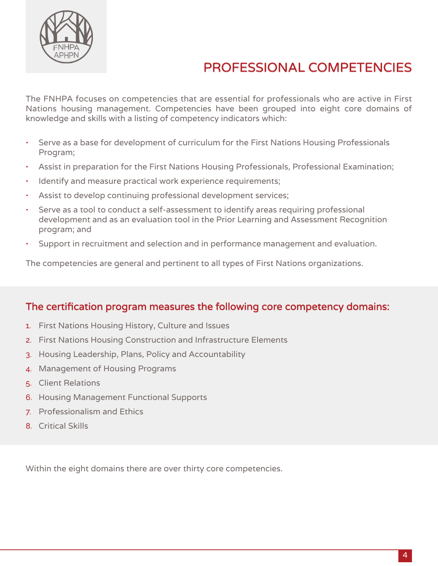

## PROFESSIONAL COMPETENCIES

The FNHPA focuses on competencies that are essential for professionals who are active in First Nations housing management. Competencies have been grouped into eight core domains of knowledge and skills with a listing of competency indicators which:

- Serve as a base for development of curriculum for the First Nations Housing Professionals Program;
- Assist in preparation for the First Nations Housing Professionals, Professional Examination;
- Identify and measure practical work experience requirements;
- Assist to develop continuing professional development services;
- Serve as a tool to conduct a self-assessment to identify areas requiring professional development and as an evaluation tool in the Prior Learning and Assessment Recognition program; and
- Support in recruitment and selection and in performance management and evaluation.

The competencies are general and pertinent to all types of First Nations organizations.

#### The certification program measures the following core competency domains:

- 1. First Nations Housing History, Culture and Issues
- 2. First Nations Housing Construction and Infrastructure Elements
- 3. Housing Leadership, Plans, Policy and Accountability
- 4. Management of Housing Programs
- 5. Client Relations
- 6. Housing Management Functional Supports
- 7. Professionalism and Ethics
- 8. Critical Skills

Within the eight domains there are over thirty core competencies.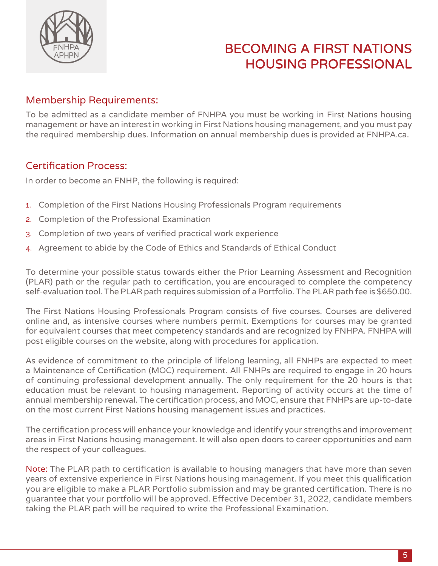

## BECOMING A FIRST NATIONS HOUSING PROFESSIONAL

#### Membership Requirements:

To be admitted as a candidate member of FNHPA you must be working in First Nations housing management or have an interest in working in First Nations housing management, and you must pay the required membership dues. Information on annual membership dues is provided at FNHPA.ca.

#### Certification Process:

In order to become an FNHP, the following is required:

- 1. Completion of the First Nations Housing Professionals Program requirements
- 2. Completion of the Professional Examination
- 3. Completion of two years of verified practical work experience
- 4. Agreement to abide by the Code of Ethics and Standards of Ethical Conduct

To determine your possible status towards either the Prior Learning Assessment and Recognition (PLAR) path or the regular path to certification, you are encouraged to complete the competency self-evaluation tool. The PLAR path requires submission of a Portfolio. The PLAR path fee is \$650.00.

The First Nations Housing Professionals Program consists of five courses. Courses are delivered online and, as intensive courses where numbers permit. Exemptions for courses may be granted for equivalent courses that meet competency standards and are recognized by FNHPA. FNHPA will post eligible courses on the website, along with procedures for application.

As evidence of commitment to the principle of lifelong learning, all FNHPs are expected to meet a Maintenance of Certification (MOC) requirement. All FNHPs are required to engage in 20 hours of continuing professional development annually. The only requirement for the 20 hours is that education must be relevant to housing management. Reporting of activity occurs at the time of annual membership renewal. The certification process, and MOC, ensure that FNHPs are up-to-date on the most current First Nations housing management issues and practices.

The certification process will enhance your knowledge and identify your strengths and improvement areas in First Nations housing management. It will also open doors to career opportunities and earn the respect of your colleagues.

Note: The PLAR path to certification is available to housing managers that have more than seven years of extensive experience in First Nations housing management. If you meet this qualification you are eligible to make a PLAR Portfolio submission and may be granted certification. There is no guarantee that your portfolio will be approved. Effective December 31, 2022, candidate members taking the PLAR path will be required to write the Professional Examination.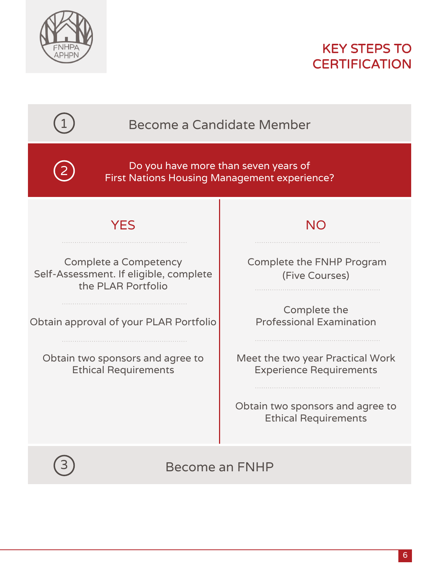



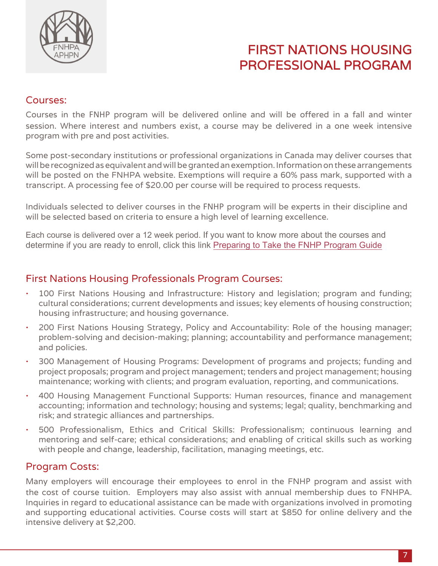

## FIRST NATIONS HOUSING PROFESSIONAL PROGRAM

#### Courses:

Courses in the FNHP program will be delivered online and will be offered in a fall and winter session. Where interest and numbers exist, a course may be delivered in a one week intensive program with pre and post activities.

Some post-secondary institutions or professional organizations in Canada may deliver courses that will be recognized as equivalent and will be granted an exemption. Information on these arrangements will be posted on the FNHPA website. Exemptions will require a 60% pass mark, supported with a transcript. A processing fee of \$20.00 per course will be required to process requests.

Individuals selected to deliver courses in the FNHP program will be experts in their discipline and will be selected based on criteria to ensure a high level of learning excellence.

Each course is delivered over a 12 week period. If you want to know more about the courses and determine if you are ready to enroll, click this link [Preparing to Take the FNHP Program Guide](https://fnhpa.ca/_Library/Documents/Preparing_to_Take_the_FNHP_Program_-_Final_at_June_14_2021_002_.pdf)

#### First Nations Housing Professionals Program Courses: •

- 100 First Nations Housing and Infrastructure: History and legislation; program and funding; cultural considerations; current developments and issues; key elements of housing construction; housing infrastructure; and housing governance.
- 200 First Nations Housing Strategy, Policy and Accountability: Role of the housing manager; problem-solving and decision-making; planning; accountability and performance management; and policies.
- 300 Management of Housing Programs: Development of programs and projects; funding and project proposals; program and project management; tenders and project management; housing maintenance; working with clients; and program evaluation, reporting, and communications.
- 400 Housing Management Functional Supports: Human resources, finance and management accounting; information and technology; housing and systems; legal; quality, benchmarking and risk; and strategic alliances and partnerships.
- 500 Professionalism, Ethics and Critical Skills: Professionalism; continuous learning and mentoring and self-care; ethical considerations; and enabling of critical skills such as working with people and change, leadership, facilitation, managing meetings, etc.

#### Program Costs:

Many employers will encourage their employees to enrol in the FNHP program and assist with the cost of course tuition. Employers may also assist with annual membership dues to FNHPA. Inquiries in regard to educational assistance can be made with organizations involved in promoting and supporting educational activities. Course costs will start at \$850 for online delivery and the intensive delivery at \$2,200.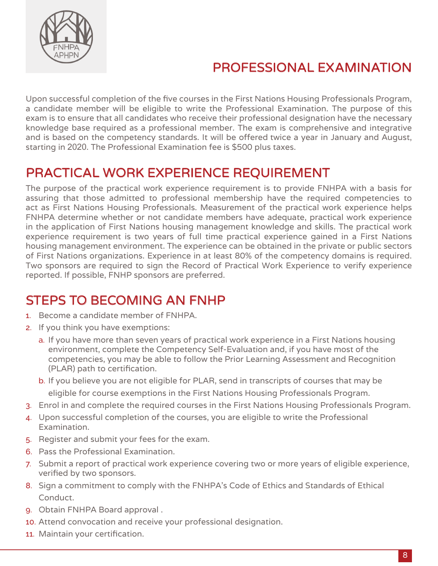

## PROFESSIONAL EXAMINATION

Upon successful completion of the five courses in the First Nations Housing Professionals Program, a candidate member will be eligible to write the Professional Examination. The purpose of this exam is to ensure that all candidates who receive their professional designation have the necessary knowledge base required as a professional member. The exam is comprehensive and integrative and is based on the competency standards. It will be offered twice a year in January and August, starting in 2020. The Professional Examination fee is \$500 plus taxes.

## PRACTICAL WORK EXPERIENCE REQUIREMENT

The purpose of the practical work experience requirement is to provide FNHPA with a basis for assuring that those admitted to professional membership have the required competencies to act as First Nations Housing Professionals. Measurement of the practical work experience helps FNHPA determine whether or not candidate members have adequate, practical work experience in the application of First Nations housing management knowledge and skills. The practical work experience requirement is two years of full time practical experience gained in a First Nations housing management environment. The experience can be obtained in the private or public sectors of First Nations organizations. Experience in at least 80% of the competency domains is required. Two sponsors are required to sign the Record of Practical Work Experience to verify experience reported. If possible, FNHP sponsors are preferred.

## **STEPS TO BECOMING AN FNHP**

- 1. Become a candidate member of FNHPA.
- 2. If you think you have exemptions:
	- a. If you have more than seven years of practical work experience in a First Nations housing environment, complete the Competency Self-Evaluation and, if you have most of the competencies, you may be able to follow the Prior Learning Assessment and Recognition (PLAR) path to certification.
	- b. If you believe you are not eligible for PLAR, send in transcripts of courses that may be eligible for course exemptions in the First Nations Housing Professionals Program.
- 3. Enrol in and complete the required courses in the First Nations Housing Professionals Program.
- 4. Upon successful completion of the courses, you are eligible to write the Professional Examination.
- 5. Register and submit your fees for the exam.
- 6. Pass the Professional Examination.
- 7. Submit a report of practical work experience covering two or more years of eligible experience, verified by two sponsors.
- 8. Sign a commitment to comply with the FNHPA's Code of Ethics and Standards of Ethical Conduct.
- 9. Obtain FNHPA Board approval .
- 10. Attend convocation and receive your professional designation.
- 11. Maintain your certification.